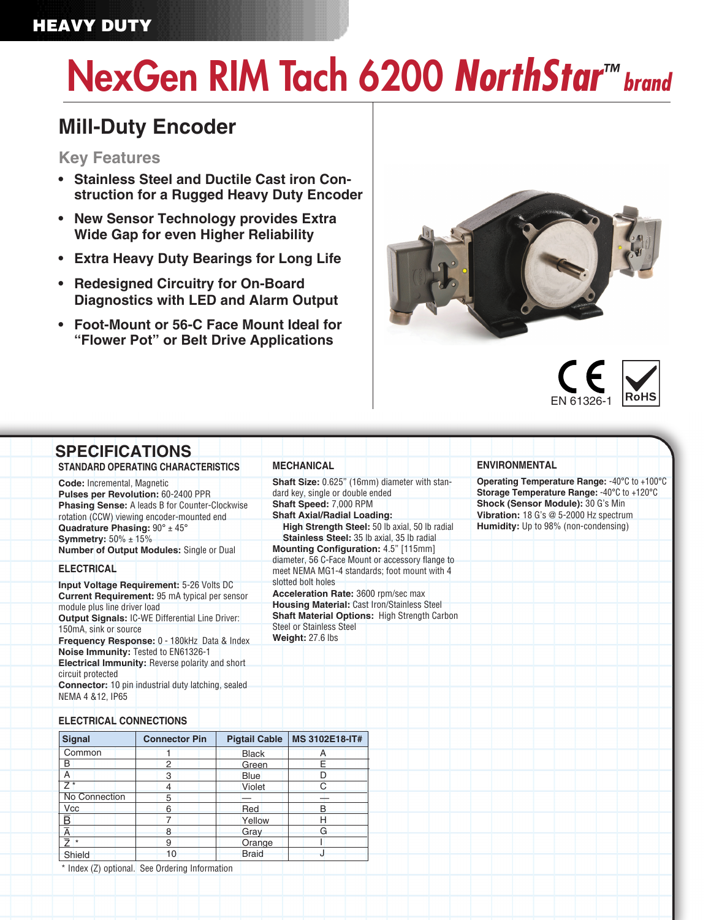## HEAVY DUTY

# NexGen RIM Tach 6200 *NorthStar™ brand*

## **Mill-Duty Encoder**

#### **Key Features**

- **• Stainless Steel and Ductile Cast iron Construction for a Rugged Heavy Duty Encoder**
- **• New Sensor Technology provides Extra Wide Gap for even Higher Reliability**
- **• Extra Heavy Duty Bearings for Long Life**
- **• Redesigned Circuitry for On-Board Diagnostics with LED and Alarm Output**
- **• Foot-Mount or 56-C Face Mount Ideal for "Flower Pot" or Belt Drive Applications**





### **SPECIFICATIONS**

**STANDARD OPERATING CHARACTERISTICS**

**Code:** Incremental, Magnetic **Pulses per Revolution:** 60-2400 PPR **Phasing Sense:** A leads B for Counter-Clockwise rotation (CCW) viewing encoder-mounted end **Quadrature Phasing:** 90° ± 45° **Symmetry:** 50% ± 15% **Number of Output Modules:** Single or Dual

#### **ELECTRICAL**

**Input Voltage Requirement:** 5-26 Volts DC **Current Requirement:** 95 mA typical per sensor module plus line driver load **Output Signals:** IC-WE Differential Line Driver: 150mA, sink or source **Frequency Response:** 0 - 180kHz Data & Index **Noise Immunity:** Tested to EN61326-1 **Electrical Immunity:** Reverse polarity and short circuit protected **Connector:** 10 pin industrial duty latching, sealed NEMA 4 &12, IP65

**MECHANICAL**

**Shaft Size:** 0.625" (16mm) diameter with standard key, single or double ended **Shaft Speed:** 7,000 RPM

#### **Shaft Axial/Radial Loading: High Strength Steel:** 50 lb axial, 50 lb radial

**Stainless Steel:** 35 lb axial, 35 lb radial **Mounting Configuration:** 4.5" [115mm] diameter, 56 C-Face Mount or accessory flange to meet NEMA MG1-4 standards; foot mount with 4 slotted bolt holes

**Acceleration Rate:** 3600 rpm/sec max **Housing Material:** Cast Iron/Stainless Steel **Shaft Material Options:** High Strength Carbon Steel or Stainless Steel **Weight:** 27.6 lbs

#### **ENVIRONMENTAL**

**Operating Temperature Range:** -40°C to +100°C **Storage Temperature Range:** -40°C to +120°C **Shock (Sensor Module):** 30 G's Min **Vibration:** 18 G's @ 5-2000 Hz spectrum **Humidity:** Up to 98% (non-condensing)

#### **ELECTRICAL CONNECTIONS**

| <b>Signal</b>           | <b>Connector Pin</b> | <b>Pigtail Cable</b> | MS 3102E18-IT# |  |  |
|-------------------------|----------------------|----------------------|----------------|--|--|
| Common                  |                      | <b>Black</b>         |                |  |  |
| B                       | 2                    | Green                | F              |  |  |
| A                       | 3                    | <b>Blue</b>          |                |  |  |
| 7                       | 4                    | Violet               |                |  |  |
| <b>No Connection</b>    | 5                    |                      |                |  |  |
| <b>Vcc</b>              | 6                    | Red                  |                |  |  |
| $\overline{\mathsf{B}}$ |                      | Yellow               |                |  |  |
| $\overline{\mathsf{A}}$ | 8                    | Gray                 | G              |  |  |
| $\star$                 | 9                    | Orange               |                |  |  |
| Shield                  | 10                   | <b>Braid</b>         |                |  |  |

\* Index (Z) optional. See Ordering Information